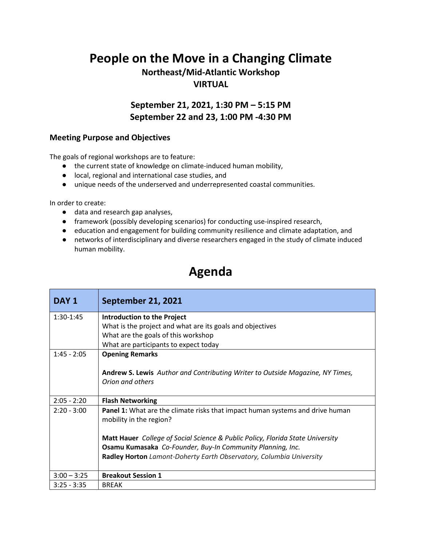## **People on the Move in a Changing Climate**

## **Northeast/Mid-Atlantic Workshop VIRTUAL**

**September 21, 2021, 1:30 PM – 5:15 PM September 22 and 23, 1:00 PM -4:30 PM**

## **Meeting Purpose and Objectives**

The goals of regional workshops are to feature:

- the current state of knowledge on climate-induced human mobility,
- local, regional and international case studies, and
- unique needs of the underserved and underrepresented coastal communities.

In order to create:

- data and research gap analyses,
- framework (possibly developing scenarios) for conducting use-inspired research,
- education and engagement for building community resilience and climate adaptation, and
- networks of interdisciplinary and diverse researchers engaged in the study of climate induced human mobility.

## **Agenda**

| DAY 1         | <b>September 21, 2021</b>                                                                                       |
|---------------|-----------------------------------------------------------------------------------------------------------------|
| $1:30-1:45$   | <b>Introduction to the Project</b>                                                                              |
|               | What is the project and what are its goals and objectives                                                       |
|               | What are the goals of this workshop                                                                             |
|               | What are participants to expect today                                                                           |
| $1:45 - 2:05$ | <b>Opening Remarks</b>                                                                                          |
|               | Andrew S. Lewis Author and Contributing Writer to Outside Magazine, NY Times,                                   |
|               | Orion and others                                                                                                |
| $2:05 - 2:20$ | <b>Flash Networking</b>                                                                                         |
| $2:20 - 3:00$ | <b>Panel 1:</b> What are the climate risks that impact human systems and drive human<br>mobility in the region? |
|               | <b>Matt Hauer</b> College of Social Science & Public Policy, Florida State University                           |
|               | Osamu Kumasaka Co-Founder, Buy-In Community Planning, Inc.                                                      |
|               | Radley Horton Lamont-Doherty Earth Observatory, Columbia University                                             |
| $3:00 - 3:25$ | <b>Breakout Session 1</b>                                                                                       |
| $3:25 - 3:35$ | <b>BREAK</b>                                                                                                    |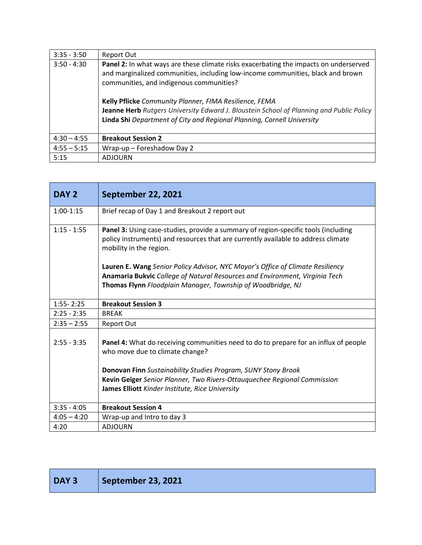| $3:35 - 3:50$ | Report Out                                                                                                                                                                                                                                                                                                                                                                                                                                                 |
|---------------|------------------------------------------------------------------------------------------------------------------------------------------------------------------------------------------------------------------------------------------------------------------------------------------------------------------------------------------------------------------------------------------------------------------------------------------------------------|
| $3:50 - 4:30$ | <b>Panel 2:</b> In what ways are these climate risks exacerbating the impacts on underserved<br>and marginalized communities, including low-income communities, black and brown<br>communities, and indigenous communities?<br>Kelly Pflicke Community Planner, FIMA Resilience, FEMA<br>Jeanne Herb Rutgers University Edward J. Bloustein School of Planning and Public Policy<br>Linda Shi Department of City and Regional Planning, Cornell University |
| $4:30 - 4:55$ | <b>Breakout Session 2</b>                                                                                                                                                                                                                                                                                                                                                                                                                                  |
| $4:55 - 5:15$ | Wrap-up - Foreshadow Day 2                                                                                                                                                                                                                                                                                                                                                                                                                                 |
| 5:15          | <b>ADJOURN</b>                                                                                                                                                                                                                                                                                                                                                                                                                                             |

| DAY <sub>2</sub> | <b>September 22, 2021</b>                                                                                                                                                                          |
|------------------|----------------------------------------------------------------------------------------------------------------------------------------------------------------------------------------------------|
| $1:00-1:15$      | Brief recap of Day 1 and Breakout 2 report out                                                                                                                                                     |
| $1:15 - 1:55$    | Panel 3: Using case-studies, provide a summary of region-specific tools (including<br>policy instruments) and resources that are currently available to address climate<br>mobility in the region. |
|                  | Lauren E. Wang Senior Policy Advisor, NYC Mayor's Office of Climate Resiliency                                                                                                                     |
|                  | Anamaria Bukvic College of Natural Resources and Environment, Virginia Tech                                                                                                                        |
|                  | Thomas Flynn Floodplain Manager, Township of Woodbridge, NJ                                                                                                                                        |
| $1:55 - 2:25$    | <b>Breakout Session 3</b>                                                                                                                                                                          |
| $2:25 - 2:35$    | <b>BREAK</b>                                                                                                                                                                                       |
| $2:35 - 2:55$    | <b>Report Out</b>                                                                                                                                                                                  |
| $2:55 - 3:35$    | <b>Panel 4:</b> What do receiving communities need to do to prepare for an influx of people<br>who move due to climate change?                                                                     |
|                  | Donovan Finn Sustainability Studies Program, SUNY Stony Brook                                                                                                                                      |
|                  | Kevin Geiger Senior Planner, Two Rivers-Ottauquechee Regional Commission                                                                                                                           |
|                  | James Elliott Kinder Institute, Rice University                                                                                                                                                    |
| $3:35 - 4:05$    | <b>Breakout Session 4</b>                                                                                                                                                                          |
| $4:05 - 4:20$    | Wrap-up and Intro to day 3                                                                                                                                                                         |
| 4:20             | <b>ADJOURN</b>                                                                                                                                                                                     |

| DAY <sub>3</sub> | September 23, 2021 |
|------------------|--------------------|
|------------------|--------------------|